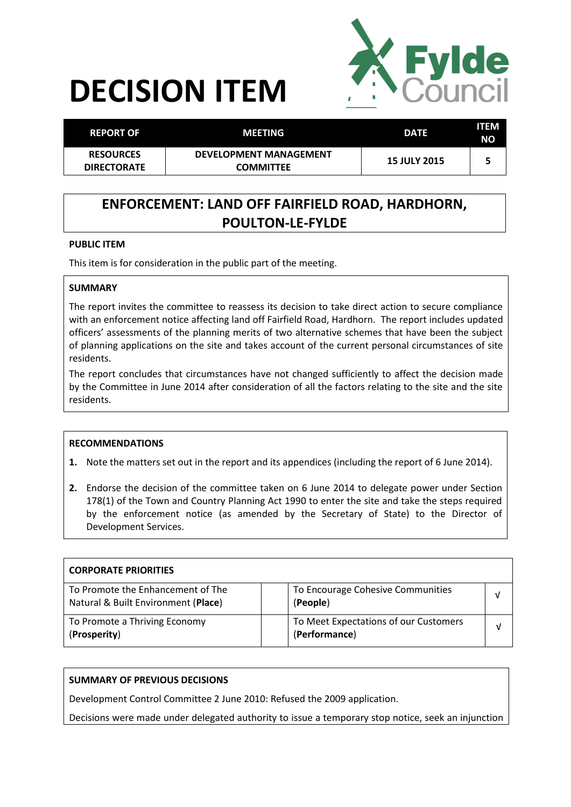# **DECISION ITEM**



| <b>REPORT OF</b>                       | <b>MEETING</b>                             | <b>DATE</b>         | <b>ITEM</b><br>NΟ |
|----------------------------------------|--------------------------------------------|---------------------|-------------------|
| <b>RESOURCES</b><br><b>DIRECTORATE</b> | DEVELOPMENT MANAGEMENT<br><b>COMMITTEE</b> | <b>15 JULY 2015</b> | ь                 |

# **ENFORCEMENT: LAND OFF FAIRFIELD ROAD, HARDHORN, POULTON-LE-FYLDE**

#### **PUBLIC ITEM**

This item is for consideration in the public part of the meeting.

#### **SUMMARY**

The report invites the committee to reassess its decision to take direct action to secure compliance with an enforcement notice affecting land off Fairfield Road, Hardhorn. The report includes updated officers' assessments of the planning merits of two alternative schemes that have been the subject of planning applications on the site and takes account of the current personal circumstances of site residents.

The report concludes that circumstances have not changed sufficiently to affect the decision made by the Committee in June 2014 after consideration of all the factors relating to the site and the site residents.

#### **RECOMMENDATIONS**

- **1.** Note the matters set out in the report and its appendices (including the report of 6 June 2014).
- **2.** Endorse the decision of the committee taken on 6 June 2014 to delegate power under Section 178(1) of the Town and Country Planning Act 1990 to enter the site and take the steps required by the enforcement notice (as amended by the Secretary of State) to the Director of Development Services.

| <b>CORPORATE PRIORITIES</b>                                              |                                                        |   |
|--------------------------------------------------------------------------|--------------------------------------------------------|---|
| To Promote the Enhancement of The<br>Natural & Built Environment (Place) | To Encourage Cohesive Communities<br>(People)          |   |
| To Promote a Thriving Economy<br>(Prosperity)                            | To Meet Expectations of our Customers<br>(Performance) | ν |

## **SUMMARY OF PREVIOUS DECISIONS**

Development Control Committee 2 June 2010: Refused the 2009 application.

Decisions were made under delegated authority to issue a temporary stop notice, seek an injunction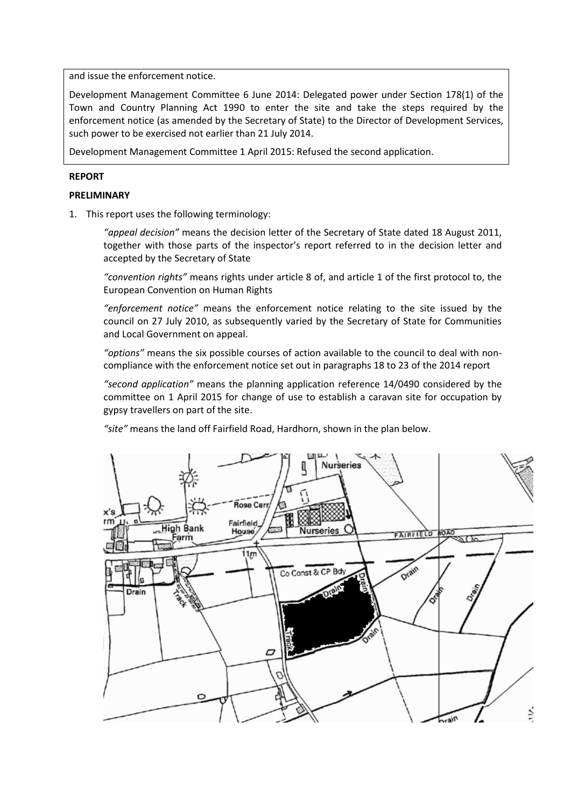and issue the enforcement notice.

Development Management Committee 6 June 2014: Delegated power under Section 178(1) of the Town and Country Planning Act 1990 to enter the site and take the steps required by the enforcement notice (as amended by the Secretary of State) to the Director of Development Services, such power to be exercised not earlier than 21 July 2014.

Development Management Committee 1 April 2015: Refused the second application.

#### **REPORT**

#### **PRELIMINARY**

1. This report uses the following terminology:

*"appeal decision"* means the decision letter of the Secretary of State dated 18 August 2011, together with those parts of the inspector's report referred to in the decision letter and accepted by the Secretary of State

*"convention rights"* means rights under article 8 of, and article 1 of the first protocol to, the European Convention on Human Rights

*"enforcement notice"* means the enforcement notice relating to the site issued by the council on 27 July 2010, as subsequently varied by the Secretary of State for Communities and Local Government on appeal.

*"options"* means the six possible courses of action available to the council to deal with noncompliance with the enforcement notice set out in paragraphs 18 to 23 of the 2014 report

*"second application"* means the planning application reference 14/0490 considered by the committee on 1 April 2015 for change of use to establish a caravan site for occupation by gypsy travellers on part of the site.

*"site"* means the land off Fairfield Road, Hardhorn, shown in the plan below.

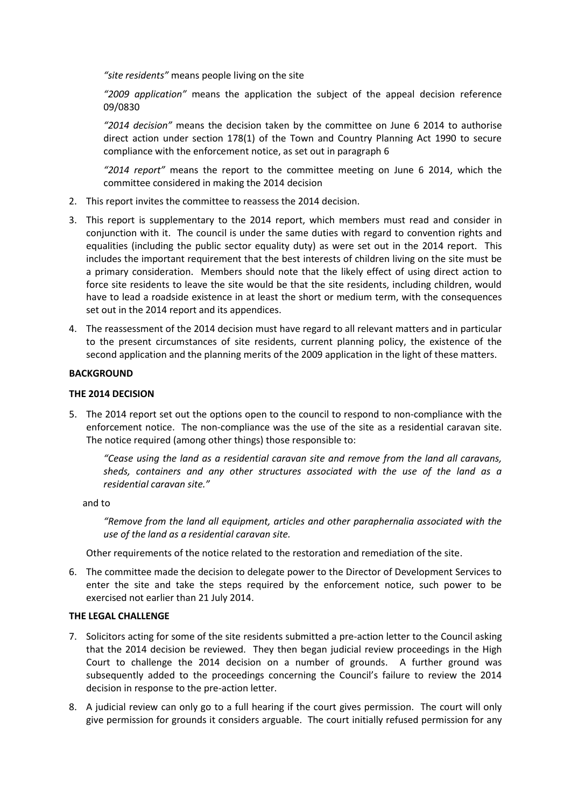*"site residents"* means people living on the site

*"2009 application"* means the application the subject of the appeal decision reference 09/0830

*"2014 decision"* means the decision taken by the committee on June 6 2014 to authorise direct action under section 178(1) of the Town and Country Planning Act 1990 to secure compliance with the enforcement notice, as set out in paragraph 6

*"2014 report"* means the report to the committee meeting on June 6 2014, which the committee considered in making the 2014 decision

- 2. This report invites the committee to reassess the 2014 decision.
- 3. This report is supplementary to the 2014 report, which members must read and consider in conjunction with it. The council is under the same duties with regard to convention rights and equalities (including the public sector equality duty) as were set out in the 2014 report. This includes the important requirement that the best interests of children living on the site must be a primary consideration. Members should note that the likely effect of using direct action to force site residents to leave the site would be that the site residents, including children, would have to lead a roadside existence in at least the short or medium term, with the consequences set out in the 2014 report and its appendices.
- 4. The reassessment of the 2014 decision must have regard to all relevant matters and in particular to the present circumstances of site residents, current planning policy, the existence of the second application and the planning merits of the 2009 application in the light of these matters.

#### **BACKGROUND**

#### **THE 2014 DECISION**

5. The 2014 report set out the options open to the council to respond to non-compliance with the enforcement notice. The non-compliance was the use of the site as a residential caravan site. The notice required (among other things) those responsible to:

*"Cease using the land as a residential caravan site and remove from the land all caravans, sheds, containers and any other structures associated with the use of the land as a residential caravan site."*

and to

*"Remove from the land all equipment, articles and other paraphernalia associated with the use of the land as a residential caravan site.* 

Other requirements of the notice related to the restoration and remediation of the site.

6. The committee made the decision to delegate power to the Director of Development Services to enter the site and take the steps required by the enforcement notice, such power to be exercised not earlier than 21 July 2014.

#### **THE LEGAL CHALLENGE**

- 7. Solicitors acting for some of the site residents submitted a pre-action letter to the Council asking that the 2014 decision be reviewed. They then began judicial review proceedings in the High Court to challenge the 2014 decision on a number of grounds. A further ground was subsequently added to the proceedings concerning the Council's failure to review the 2014 decision in response to the pre-action letter.
- 8. A judicial review can only go to a full hearing if the court gives permission. The court will only give permission for grounds it considers arguable. The court initially refused permission for any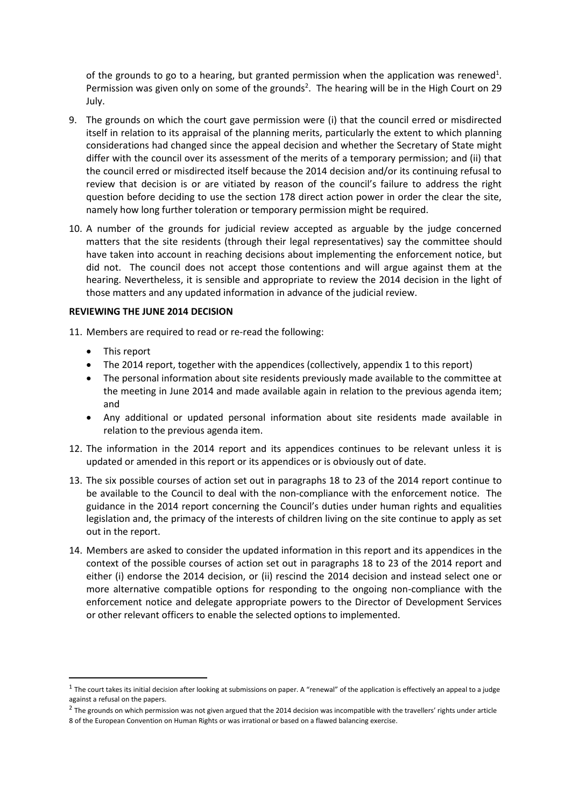of the grounds to go to a hearing, but granted permission when the application was renewed<sup>1</sup>. Permission was given only on some of the grounds<sup>2</sup>. The hearing will be in the High Court on 29 July.

- 9. The grounds on which the court gave permission were (i) that the council erred or misdirected itself in relation to its appraisal of the planning merits, particularly the extent to which planning considerations had changed since the appeal decision and whether the Secretary of State might differ with the council over its assessment of the merits of a temporary permission; and (ii) that the council erred or misdirected itself because the 2014 decision and/or its continuing refusal to review that decision is or are vitiated by reason of the council's failure to address the right question before deciding to use the section 178 direct action power in order the clear the site, namely how long further toleration or temporary permission might be required.
- 10. A number of the grounds for judicial review accepted as arguable by the judge concerned matters that the site residents (through their legal representatives) say the committee should have taken into account in reaching decisions about implementing the enforcement notice, but did not. The council does not accept those contentions and will argue against them at the hearing. Nevertheless, it is sensible and appropriate to review the 2014 decision in the light of those matters and any updated information in advance of the judicial review.

#### **REVIEWING THE JUNE 2014 DECISION**

- 11. Members are required to read or re-read the following:
	- This report

1

- The 2014 report, together with the appendices (collectively, appendix 1 to this report)
- The personal information about site residents previously made available to the committee at the meeting in June 2014 and made available again in relation to the previous agenda item; and
- Any additional or updated personal information about site residents made available in relation to the previous agenda item.
- 12. The information in the 2014 report and its appendices continues to be relevant unless it is updated or amended in this report or its appendices or is obviously out of date.
- 13. The six possible courses of action set out in paragraphs 18 to 23 of the 2014 report continue to be available to the Council to deal with the non-compliance with the enforcement notice. The guidance in the 2014 report concerning the Council's duties under human rights and equalities legislation and, the primacy of the interests of children living on the site continue to apply as set out in the report.
- 14. Members are asked to consider the updated information in this report and its appendices in the context of the possible courses of action set out in paragraphs 18 to 23 of the 2014 report and either (i) endorse the 2014 decision, or (ii) rescind the 2014 decision and instead select one or more alternative compatible options for responding to the ongoing non-compliance with the enforcement notice and delegate appropriate powers to the Director of Development Services or other relevant officers to enable the selected options to implemented.

 $1$  The court takes its initial decision after looking at submissions on paper. A "renewal" of the application is effectively an appeal to a judge against a refusal on the papers.

 $^2$  The grounds on which permission was not given argued that the 2014 decision was incompatible with the travellers' rights under article 8 of the European Convention on Human Rights or was irrational or based on a flawed balancing exercise.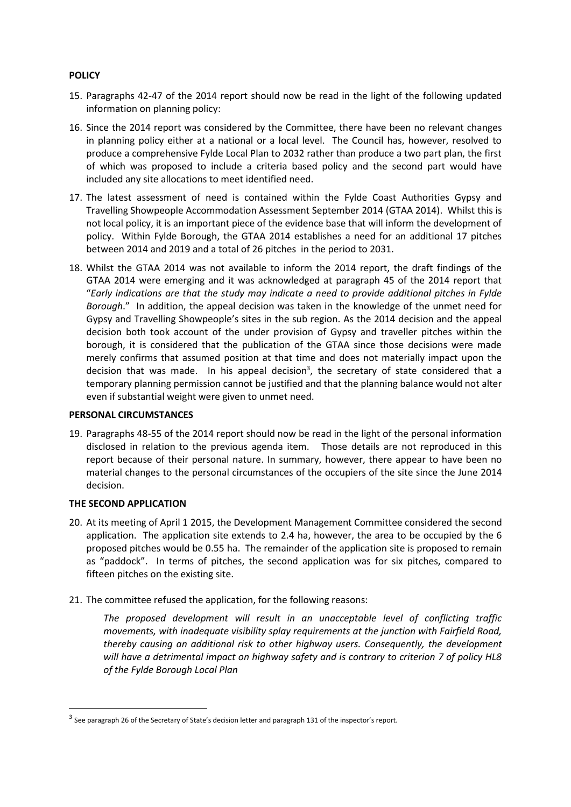#### **POLICY**

- 15. Paragraphs 42-47 of the 2014 report should now be read in the light of the following updated information on planning policy:
- 16. Since the 2014 report was considered by the Committee, there have been no relevant changes in planning policy either at a national or a local level. The Council has, however, resolved to produce a comprehensive Fylde Local Plan to 2032 rather than produce a two part plan, the first of which was proposed to include a criteria based policy and the second part would have included any site allocations to meet identified need.
- 17. The latest assessment of need is contained within the Fylde Coast Authorities Gypsy and Travelling Showpeople Accommodation Assessment September 2014 (GTAA 2014). Whilst this is not local policy, it is an important piece of the evidence base that will inform the development of policy. Within Fylde Borough, the GTAA 2014 establishes a need for an additional 17 pitches between 2014 and 2019 and a total of 26 pitches in the period to 2031.
- 18. Whilst the GTAA 2014 was not available to inform the 2014 report, the draft findings of the GTAA 2014 were emerging and it was acknowledged at paragraph 45 of the 2014 report that "*Early indications are that the study may indicate a need to provide additional pitches in Fylde Borough*." In addition, the appeal decision was taken in the knowledge of the unmet need for Gypsy and Travelling Showpeople's sites in the sub region. As the 2014 decision and the appeal decision both took account of the under provision of Gypsy and traveller pitches within the borough, it is considered that the publication of the GTAA since those decisions were made merely confirms that assumed position at that time and does not materially impact upon the decision that was made. In his appeal decision<sup>3</sup>, the secretary of state considered that a temporary planning permission cannot be justified and that the planning balance would not alter even if substantial weight were given to unmet need.

#### **PERSONAL CIRCUMSTANCES**

19. Paragraphs 48-55 of the 2014 report should now be read in the light of the personal information disclosed in relation to the previous agenda item. Those details are not reproduced in this report because of their personal nature. In summary, however, there appear to have been no material changes to the personal circumstances of the occupiers of the site since the June 2014 decision.

#### **THE SECOND APPLICATION**

**.** 

- 20. At its meeting of April 1 2015, the Development Management Committee considered the second application. The application site extends to 2.4 ha, however, the area to be occupied by the 6 proposed pitches would be 0.55 ha. The remainder of the application site is proposed to remain as "paddock". In terms of pitches, the second application was for six pitches, compared to fifteen pitches on the existing site.
- 21. The committee refused the application, for the following reasons:

*The proposed development will result in an unacceptable level of conflicting traffic movements, with inadequate visibility splay requirements at the junction with Fairfield Road, thereby causing an additional risk to other highway users. Consequently, the development will have a detrimental impact on highway safety and is contrary to criterion 7 of policy HL8 of the Fylde Borough Local Plan* 

 $3$  See paragraph 26 of the Secretary of State's decision letter and paragraph 131 of the inspector's report.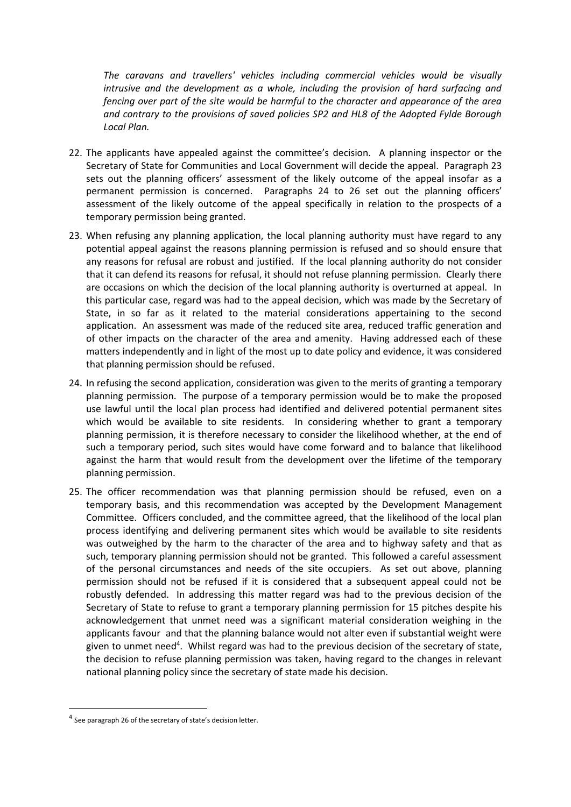*The caravans and travellers' vehicles including commercial vehicles would be visually intrusive and the development as a whole, including the provision of hard surfacing and fencing over part of the site would be harmful to the character and appearance of the area and contrary to the provisions of saved policies SP2 and HL8 of the Adopted Fylde Borough Local Plan.* 

- 22. The applicants have appealed against the committee's decision. A planning inspector or the Secretary of State for Communities and Local Government will decide the appeal. Paragraph 23 sets out the planning officers' assessment of the likely outcome of the appeal insofar as a permanent permission is concerned. Paragraphs 24 to 26 set out the planning officers' assessment of the likely outcome of the appeal specifically in relation to the prospects of a temporary permission being granted.
- 23. When refusing any planning application, the local planning authority must have regard to any potential appeal against the reasons planning permission is refused and so should ensure that any reasons for refusal are robust and justified. If the local planning authority do not consider that it can defend its reasons for refusal, it should not refuse planning permission. Clearly there are occasions on which the decision of the local planning authority is overturned at appeal. In this particular case, regard was had to the appeal decision, which was made by the Secretary of State, in so far as it related to the material considerations appertaining to the second application. An assessment was made of the reduced site area, reduced traffic generation and of other impacts on the character of the area and amenity. Having addressed each of these matters independently and in light of the most up to date policy and evidence, it was considered that planning permission should be refused.
- 24. In refusing the second application, consideration was given to the merits of granting a temporary planning permission. The purpose of a temporary permission would be to make the proposed use lawful until the local plan process had identified and delivered potential permanent sites which would be available to site residents. In considering whether to grant a temporary planning permission, it is therefore necessary to consider the likelihood whether, at the end of such a temporary period, such sites would have come forward and to balance that likelihood against the harm that would result from the development over the lifetime of the temporary planning permission.
- 25. The officer recommendation was that planning permission should be refused, even on a temporary basis, and this recommendation was accepted by the Development Management Committee. Officers concluded, and the committee agreed, that the likelihood of the local plan process identifying and delivering permanent sites which would be available to site residents was outweighed by the harm to the character of the area and to highway safety and that as such, temporary planning permission should not be granted. This followed a careful assessment of the personal circumstances and needs of the site occupiers. As set out above, planning permission should not be refused if it is considered that a subsequent appeal could not be robustly defended. In addressing this matter regard was had to the previous decision of the Secretary of State to refuse to grant a temporary planning permission for 15 pitches despite his acknowledgement that unmet need was a significant material consideration weighing in the applicants favour and that the planning balance would not alter even if substantial weight were given to unmet need<sup>4</sup>. Whilst regard was had to the previous decision of the secretary of state, the decision to refuse planning permission was taken, having regard to the changes in relevant national planning policy since the secretary of state made his decision.

**.** 

<sup>&</sup>lt;sup>4</sup> See paragraph 26 of the secretary of state's decision letter.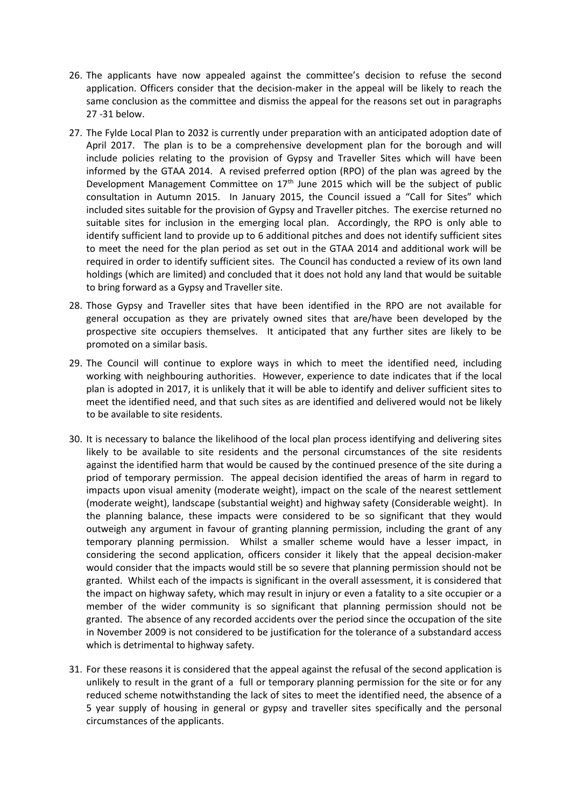- 26. The applicants have now appealed against the committee's decision to refuse the second application. Officers consider that the decision-maker in the appeal will be likely to reach the same conclusion as the committee and dismiss the appeal for the reasons set out in paragraphs 27 -31 below.
- 27. The Fylde Local Plan to 2032 is currently under preparation with an anticipated adoption date of April 2017. The plan is to be a comprehensive development plan for the borough and will include policies relating to the provision of Gypsy and Traveller Sites which will have been informed by the GTAA 2014. A revised preferred option (RPO) of the plan was agreed by the Development Management Committee on  $17<sup>th</sup>$  June 2015 which will be the subject of public consultation in Autumn 2015. In January 2015, the Council issued a "Call for Sites" which included sites suitable for the provision of Gypsy and Traveller pitches. The exercise returned no suitable sites for inclusion in the emerging local plan. Accordingly, the RPO is only able to identify sufficient land to provide up to 6 additional pitches and does not identify sufficient sites to meet the need for the plan period as set out in the GTAA 2014 and additional work will be required in order to identify sufficient sites. The Council has conducted a review of its own land holdings (which are limited) and concluded that it does not hold any land that would be suitable to bring forward as a Gypsy and Traveller site.
- 28. Those Gypsy and Traveller sites that have been identified in the RPO are not available for general occupation as they are privately owned sites that are/have been developed by the prospective site occupiers themselves. It anticipated that any further sites are likely to be promoted on a similar basis.
- 29. The Council will continue to explore ways in which to meet the identified need, including working with neighbouring authorities. However, experience to date indicates that if the local plan is adopted in 2017, it is unlikely that it will be able to identify and deliver sufficient sites to meet the identified need, and that such sites as are identified and delivered would not be likely to be available to site residents.
- 30. It is necessary to balance the likelihood of the local plan process identifying and delivering sites likely to be available to site residents and the personal circumstances of the site residents against the identified harm that would be caused by the continued presence of the site during a priod of temporary permission. The appeal decision identified the areas of harm in regard to impacts upon visual amenity (moderate weight), impact on the scale of the nearest settlement (moderate weight), landscape (substantial weight) and highway safety (Considerable weight). In the planning balance, these impacts were considered to be so significant that they would outweigh any argument in favour of granting planning permission, including the grant of any temporary planning permission. Whilst a smaller scheme would have a lesser impact, in considering the second application, officers consider it likely that the appeal decision-maker would consider that the impacts would still be so severe that planning permission should not be granted. Whilst each of the impacts is significant in the overall assessment, it is considered that the impact on highway safety, which may result in injury or even a fatality to a site occupier or a member of the wider community is so significant that planning permission should not be granted. The absence of any recorded accidents over the period since the occupation of the site in November 2009 is not considered to be justification for the tolerance of a substandard access which is detrimental to highway safety.
- 31. For these reasons it is considered that the appeal against the refusal of the second application is unlikely to result in the grant of a full or temporary planning permission for the site or for any reduced scheme notwithstanding the lack of sites to meet the identified need, the absence of a 5 year supply of housing in general or gypsy and traveller sites specifically and the personal circumstances of the applicants.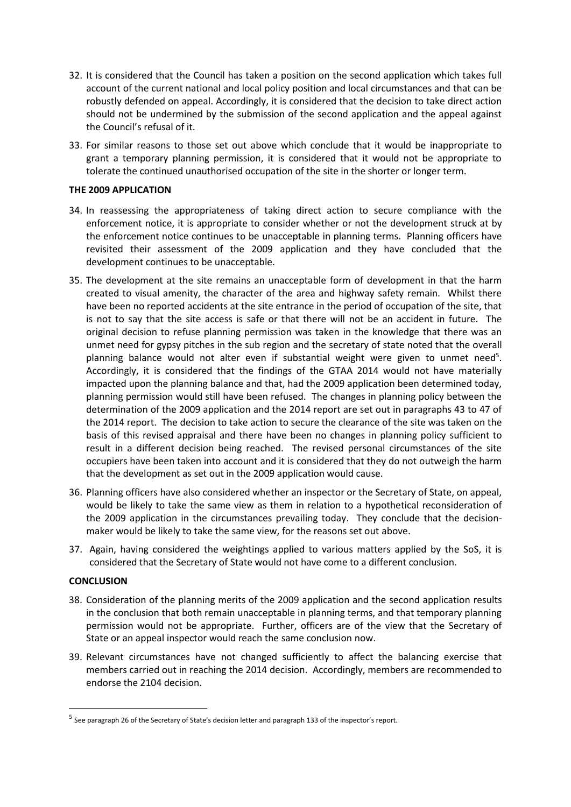- 32. It is considered that the Council has taken a position on the second application which takes full account of the current national and local policy position and local circumstances and that can be robustly defended on appeal. Accordingly, it is considered that the decision to take direct action should not be undermined by the submission of the second application and the appeal against the Council's refusal of it.
- 33. For similar reasons to those set out above which conclude that it would be inappropriate to grant a temporary planning permission, it is considered that it would not be appropriate to tolerate the continued unauthorised occupation of the site in the shorter or longer term.

#### **THE 2009 APPLICATION**

- 34. In reassessing the appropriateness of taking direct action to secure compliance with the enforcement notice, it is appropriate to consider whether or not the development struck at by the enforcement notice continues to be unacceptable in planning terms. Planning officers have revisited their assessment of the 2009 application and they have concluded that the development continues to be unacceptable.
- 35. The development at the site remains an unacceptable form of development in that the harm created to visual amenity, the character of the area and highway safety remain. Whilst there have been no reported accidents at the site entrance in the period of occupation of the site, that is not to say that the site access is safe or that there will not be an accident in future. The original decision to refuse planning permission was taken in the knowledge that there was an unmet need for gypsy pitches in the sub region and the secretary of state noted that the overall planning balance would not alter even if substantial weight were given to unmet need<sup>5</sup>. Accordingly, it is considered that the findings of the GTAA 2014 would not have materially impacted upon the planning balance and that, had the 2009 application been determined today, planning permission would still have been refused. The changes in planning policy between the determination of the 2009 application and the 2014 report are set out in paragraphs 43 to 47 of the 2014 report. The decision to take action to secure the clearance of the site was taken on the basis of this revised appraisal and there have been no changes in planning policy sufficient to result in a different decision being reached. The revised personal circumstances of the site occupiers have been taken into account and it is considered that they do not outweigh the harm that the development as set out in the 2009 application would cause.
- 36. Planning officers have also considered whether an inspector or the Secretary of State, on appeal, would be likely to take the same view as them in relation to a hypothetical reconsideration of the 2009 application in the circumstances prevailing today. They conclude that the decisionmaker would be likely to take the same view, for the reasons set out above.
- 37. Again, having considered the weightings applied to various matters applied by the SoS, it is considered that the Secretary of State would not have come to a different conclusion.

#### **CONCLUSION**

**.** 

- 38. Consideration of the planning merits of the 2009 application and the second application results in the conclusion that both remain unacceptable in planning terms, and that temporary planning permission would not be appropriate. Further, officers are of the view that the Secretary of State or an appeal inspector would reach the same conclusion now.
- 39. Relevant circumstances have not changed sufficiently to affect the balancing exercise that members carried out in reaching the 2014 decision. Accordingly, members are recommended to endorse the 2104 decision.

<sup>&</sup>lt;sup>5</sup> See paragraph 26 of the Secretary of State's decision letter and paragraph 133 of the inspector's report.